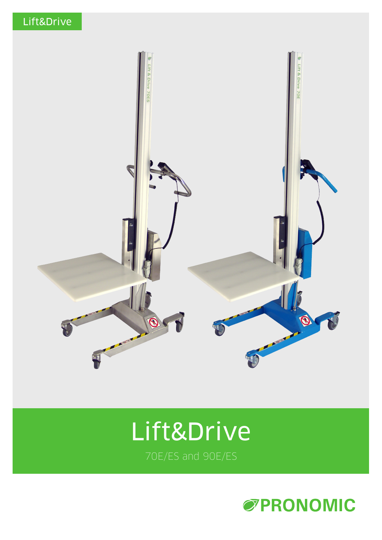

# Lift&Drive